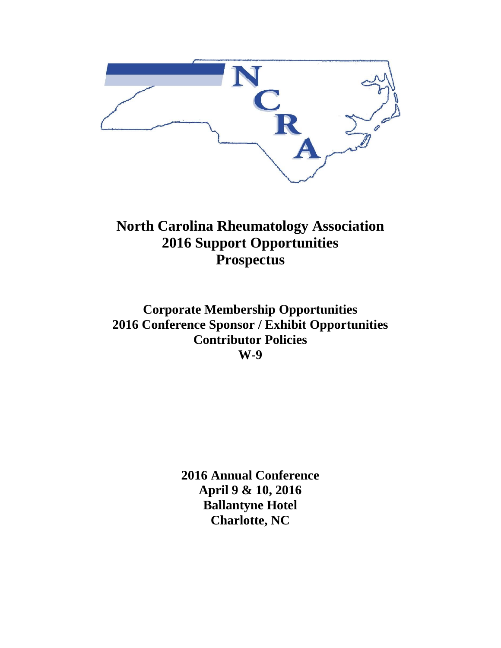

**North Carolina Rheumatology Association 2016 Support Opportunities Prospectus**

**Corporate Membership Opportunities 2016 Conference Sponsor / Exhibit Opportunities Contributor Policies W-9**

> **2016 Annual Conference April 9 & 10, 2016 Ballantyne Hotel Charlotte, NC**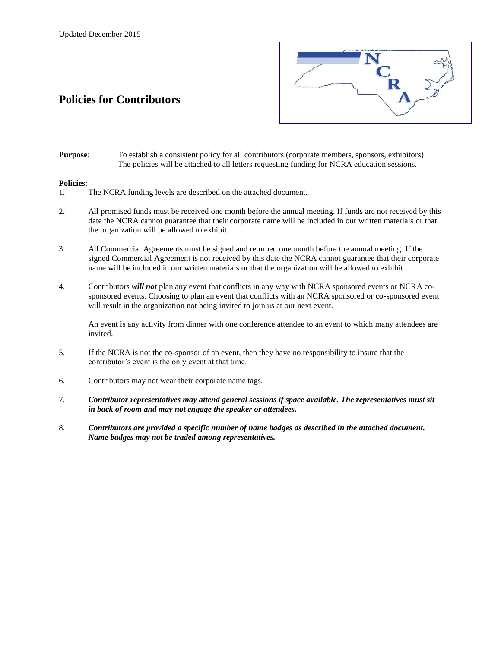# **Policies for Contributors**



**Purpose**: To establish a consistent policy for all contributors (corporate members, sponsors, exhibitors). The policies will be attached to all letters requesting funding for NCRA education sessions.

#### **Policies**:

- 1. The NCRA funding levels are described on the attached document.
- 2. All promised funds must be received one month before the annual meeting. If funds are not received by this date the NCRA cannot guarantee that their corporate name will be included in our written materials or that the organization will be allowed to exhibit.
- 3. All Commercial Agreements must be signed and returned one month before the annual meeting. If the signed Commercial Agreement is not received by this date the NCRA cannot guarantee that their corporate name will be included in our written materials or that the organization will be allowed to exhibit.
- 4. Contributors *will not* plan any event that conflicts in any way with NCRA sponsored events or NCRA cosponsored events. Choosing to plan an event that conflicts with an NCRA sponsored or co-sponsored event will result in the organization not being invited to join us at our next event.

An event is any activity from dinner with one conference attendee to an event to which many attendees are invited.

- 5. If the NCRA is not the co-sponsor of an event, then they have no responsibility to insure that the contributor's event is the only event at that time.
- 6. Contributors may not wear their corporate name tags.
- 7. *Contributor representatives may attend general sessions if space available. The representatives must sit in back of room and may not engage the speaker or attendees.*
- 8. *Contributors are provided a specific number of name badges as described in the attached document. Name badges may not be traded among representatives.*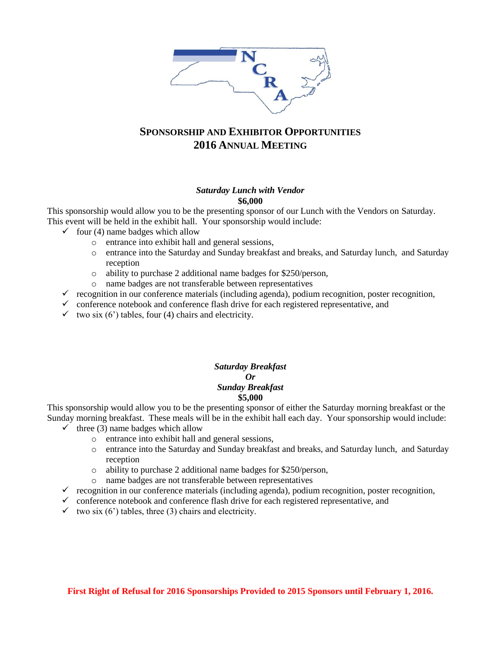

## **SPONSORSHIP AND EXHIBITOR OPPORTUNITIES 2016 ANNUAL MEETING**

#### *Saturday Lunch with Vendor* **\$6,000**

This sponsorship would allow you to be the presenting sponsor of our Lunch with the Vendors on Saturday. This event will be held in the exhibit hall. Your sponsorship would include:

- $\checkmark$  four (4) name badges which allow
	- o entrance into exhibit hall and general sessions,
	- o entrance into the Saturday and Sunday breakfast and breaks, and Saturday lunch, and Saturday reception
	- o ability to purchase 2 additional name badges for \$250/person,
	- o name badges are not transferable between representatives
- $\checkmark$  recognition in our conference materials (including agenda), podium recognition, poster recognition,
- $\checkmark$  conference notebook and conference flash drive for each registered representative, and
- $\checkmark$  two six (6') tables, four (4) chairs and electricity.

#### *Saturday Breakfast Or Sunday Breakfast*  **\$5,000**

This sponsorship would allow you to be the presenting sponsor of either the Saturday morning breakfast or the Sunday morning breakfast. These meals will be in the exhibit hall each day. Your sponsorship would include:

- $\checkmark$  three (3) name badges which allow
	- o entrance into exhibit hall and general sessions,
	- o entrance into the Saturday and Sunday breakfast and breaks, and Saturday lunch, and Saturday reception
	- o ability to purchase 2 additional name badges for \$250/person,
	- o name badges are not transferable between representatives
- $\checkmark$  recognition in our conference materials (including agenda), podium recognition, poster recognition,
- $\checkmark$  conference notebook and conference flash drive for each registered representative, and
- $\checkmark$  two six (6') tables, three (3) chairs and electricity.

**First Right of Refusal for 2016 Sponsorships Provided to 2015 Sponsors until February 1, 2016.**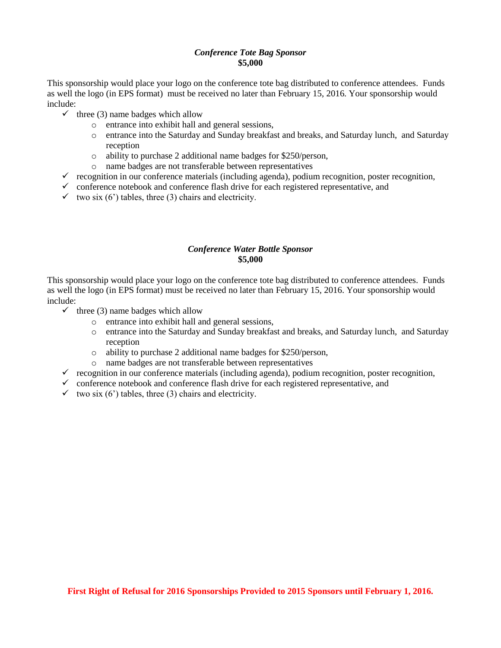### *Conference Tote Bag Sponsor* **\$5,000**

This sponsorship would place your logo on the conference tote bag distributed to conference attendees. Funds as well the logo (in EPS format) must be received no later than February 15, 2016. Your sponsorship would include:

- $\checkmark$  three (3) name badges which allow
	- o entrance into exhibit hall and general sessions,
	- o entrance into the Saturday and Sunday breakfast and breaks, and Saturday lunch, and Saturday reception
	- o ability to purchase 2 additional name badges for \$250/person,
	- o name badges are not transferable between representatives
- $\checkmark$  recognition in our conference materials (including agenda), podium recognition, poster recognition,
- $\checkmark$  conference notebook and conference flash drive for each registered representative, and
- $\checkmark$  two six (6') tables, three (3) chairs and electricity.

### *Conference Water Bottle Sponsor* **\$5,000**

This sponsorship would place your logo on the conference tote bag distributed to conference attendees. Funds as well the logo (in EPS format) must be received no later than February 15, 2016. Your sponsorship would include:

- $\checkmark$  three (3) name badges which allow
	- o entrance into exhibit hall and general sessions,
	- o entrance into the Saturday and Sunday breakfast and breaks, and Saturday lunch, and Saturday reception
	- o ability to purchase 2 additional name badges for \$250/person,
	- o name badges are not transferable between representatives
- $\checkmark$  recognition in our conference materials (including agenda), podium recognition, poster recognition,
- $\checkmark$  conference notebook and conference flash drive for each registered representative, and
- $\checkmark$  two six (6') tables, three (3) chairs and electricity.